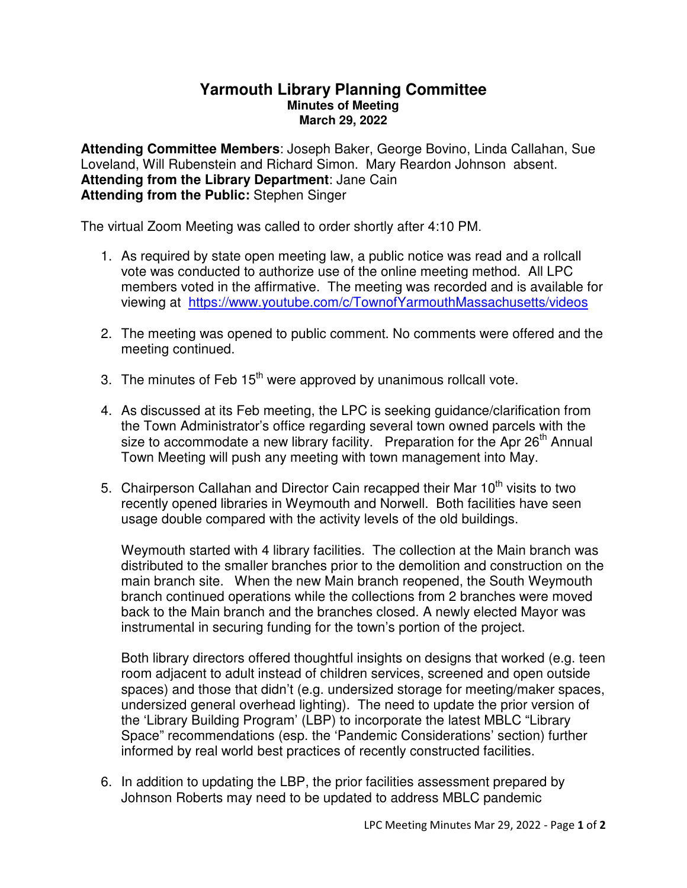## **Yarmouth Library Planning Committee Minutes of Meeting March 29, 2022**

**Attending Committee Members**: Joseph Baker, George Bovino, Linda Callahan, Sue Loveland, Will Rubenstein and Richard Simon. Mary Reardon Johnson absent. **Attending from the Library Department**: Jane Cain **Attending from the Public:** Stephen Singer

The virtual Zoom Meeting was called to order shortly after 4:10 PM.

- 1. As required by state open meeting law, a public notice was read and a rollcall vote was conducted to authorize use of the online meeting method. All LPC members voted in the affirmative. The meeting was recorded and is available for viewing at https://www.youtube.com/c/TownofYarmouthMassachusetts/videos
- 2. The meeting was opened to public comment. No comments were offered and the meeting continued.
- 3. The minutes of Feb  $15<sup>th</sup>$  were approved by unanimous rollcall vote.
- 4. As discussed at its Feb meeting, the LPC is seeking guidance/clarification from the Town Administrator's office regarding several town owned parcels with the size to accommodate a new library facility. Preparation for the Apr  $26<sup>th</sup>$  Annual Town Meeting will push any meeting with town management into May.
- 5. Chairperson Callahan and Director Cain recapped their Mar 10<sup>th</sup> visits to two recently opened libraries in Weymouth and Norwell. Both facilities have seen usage double compared with the activity levels of the old buildings.

Weymouth started with 4 library facilities. The collection at the Main branch was distributed to the smaller branches prior to the demolition and construction on the main branch site. When the new Main branch reopened, the South Weymouth branch continued operations while the collections from 2 branches were moved back to the Main branch and the branches closed. A newly elected Mayor was instrumental in securing funding for the town's portion of the project.

Both library directors offered thoughtful insights on designs that worked (e.g. teen room adjacent to adult instead of children services, screened and open outside spaces) and those that didn't (e.g. undersized storage for meeting/maker spaces, undersized general overhead lighting). The need to update the prior version of the 'Library Building Program' (LBP) to incorporate the latest MBLC "Library Space" recommendations (esp. the 'Pandemic Considerations' section) further informed by real world best practices of recently constructed facilities.

6. In addition to updating the LBP, the prior facilities assessment prepared by Johnson Roberts may need to be updated to address MBLC pandemic